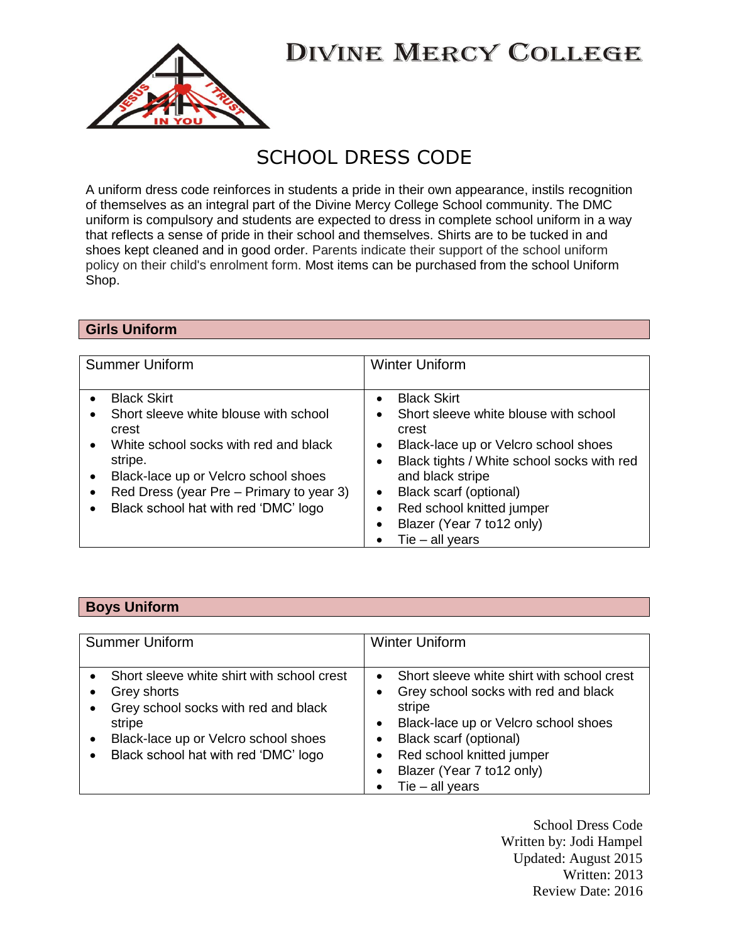

## SCHOOL DRESS CODE

A uniform dress code reinforces in students a pride in their own appearance, instils recognition of themselves as an integral part of the Divine Mercy College School community. The DMC uniform is compulsory and students are expected to dress in complete school uniform in a way that reflects a sense of pride in their school and themselves. Shirts are to be tucked in and shoes kept cleaned and in good order. Parents indicate their support of the school uniform policy on their child's enrolment form. Most items can be purchased from the school Uniform Shop.

## **Girls Uniform**

| <b>Summer Uniform</b>                    | <b>Winter Uniform</b>                      |
|------------------------------------------|--------------------------------------------|
| <b>Black Skirt</b>                       | <b>Black Skirt</b>                         |
| Short sleeve white blouse with school    | Short sleeve white blouse with school      |
| $\bullet$                                | $\bullet$                                  |
| crest                                    | crest                                      |
| White school socks with red and black    | Black-lace up or Velcro school shoes       |
| $\bullet$                                | Black tights / White school socks with red |
| stripe.                                  | and black stripe                           |
| Black-lace up or Velcro school shoes     | Black scarf (optional)                     |
| $\bullet$                                | $\bullet$                                  |
| Red Dress (year Pre – Primary to year 3) | Red school knitted jumper                  |
| $\bullet$                                | Blazer (Year 7 to12 only)                  |
| Black school hat with red 'DMC' logo     | ٠                                          |
| $\bullet$                                | Tie $-$ all years                          |

## **Boys Uniform**

| <b>Summer Uniform</b>                                                                                                                                                                                                                             | <b>Winter Uniform</b>                                                                                                                                                                                                                         |
|---------------------------------------------------------------------------------------------------------------------------------------------------------------------------------------------------------------------------------------------------|-----------------------------------------------------------------------------------------------------------------------------------------------------------------------------------------------------------------------------------------------|
| • Short sleeve white shirt with school crest<br>Grey shorts<br>$\bullet$<br>Grey school socks with red and black<br>$\bullet$<br>stripe<br>Black-lace up or Velcro school shoes<br>$\bullet$<br>Black school hat with red 'DMC' logo<br>$\bullet$ | Short sleeve white shirt with school crest<br>Grey school socks with red and black<br>stripe<br>Black-lace up or Velcro school shoes<br>Black scarf (optional)<br>Red school knitted jumper<br>Blazer (Year 7 to12 only)<br>Tie $-$ all years |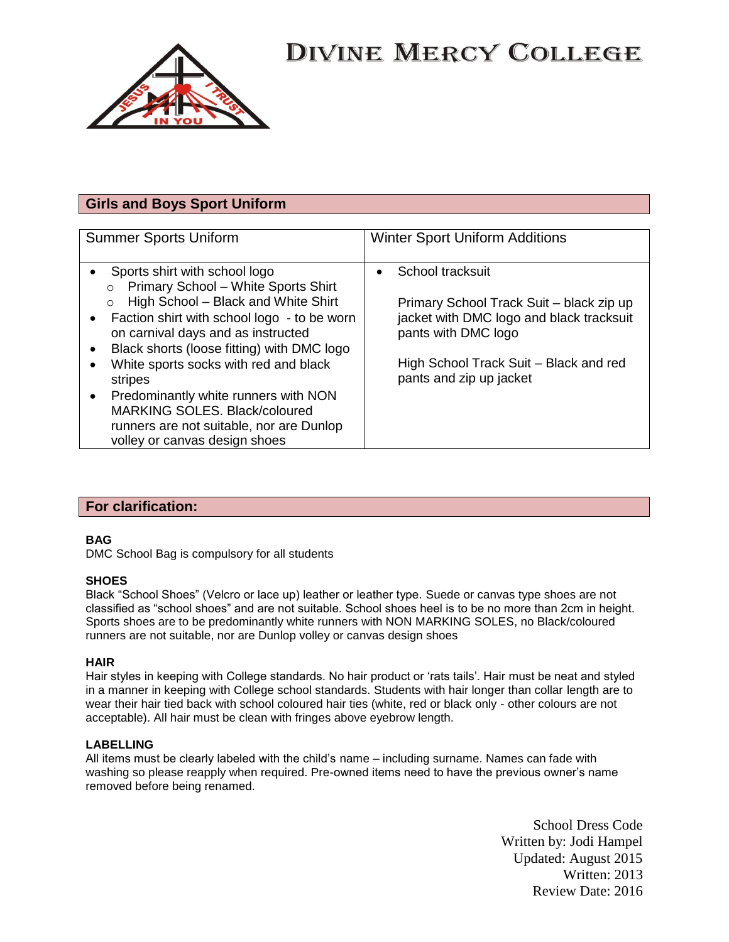

## **Girls and Boys Sport Uniform**

| <b>Summer Sports Uniform</b>                                                                                                                                                                                                                                                                                                                                                                                                                                                                 | <b>Winter Sport Uniform Additions</b>                                                                                                                                                                |
|----------------------------------------------------------------------------------------------------------------------------------------------------------------------------------------------------------------------------------------------------------------------------------------------------------------------------------------------------------------------------------------------------------------------------------------------------------------------------------------------|------------------------------------------------------------------------------------------------------------------------------------------------------------------------------------------------------|
| Sports shirt with school logo<br>Primary School - White Sports Shirt<br>$\Omega$<br>High School - Black and White Shirt<br>$\circ$<br>Faction shirt with school logo - to be worn<br>on carnival days and as instructed<br>Black shorts (loose fitting) with DMC logo<br>White sports socks with red and black<br>stripes<br>Predominantly white runners with NON<br>$\bullet$<br>MARKING SOLES. Black/coloured<br>runners are not suitable, nor are Dunlop<br>volley or canvas design shoes | School tracksuit<br>Primary School Track Suit - black zip up<br>jacket with DMC logo and black tracksuit<br>pants with DMC logo<br>High School Track Suit - Black and red<br>pants and zip up jacket |

### **For clarification:**

### **BAG**

DMC School Bag is compulsory for all students

#### **SHOES**

Black "School Shoes" (Velcro or lace up) leather or leather type. Suede or canvas type shoes are not classified as "school shoes" and are not suitable. School shoes heel is to be no more than 2cm in height. Sports shoes are to be predominantly white runners with NON MARKING SOLES, no Black/coloured runners are not suitable, nor are Dunlop volley or canvas design shoes

#### **HAIR**

Hair styles in keeping with College standards. No hair product or 'rats tails'. Hair must be neat and styled in a manner in keeping with College school standards. Students with hair longer than collar length are to wear their hair tied back with school coloured hair ties (white, red or black only - other colours are not acceptable). All hair must be clean with fringes above eyebrow length.

#### **LABELLING**

All items must be clearly labeled with the child's name – including surname. Names can fade with washing so please reapply when required. Pre-owned items need to have the previous owner's name removed before being renamed.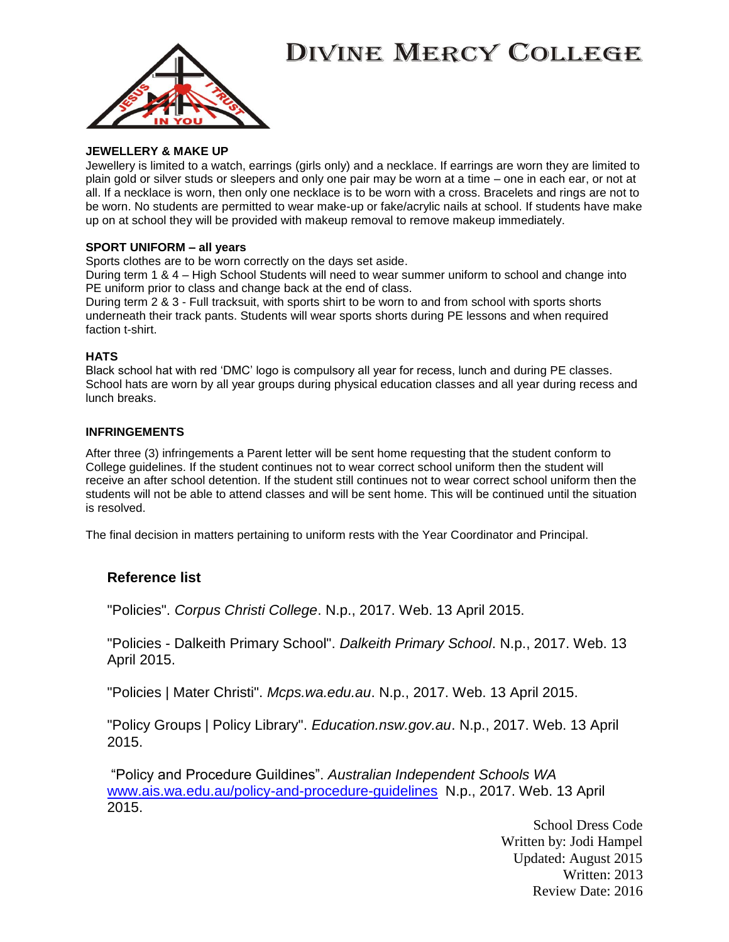

### **JEWELLERY & MAKE UP**

Jewellery is limited to a watch, earrings (girls only) and a necklace. If earrings are worn they are limited to plain gold or silver studs or sleepers and only one pair may be worn at a time – one in each ear, or not at all. If a necklace is worn, then only one necklace is to be worn with a cross. Bracelets and rings are not to be worn. No students are permitted to wear make-up or fake/acrylic nails at school. If students have make up on at school they will be provided with makeup removal to remove makeup immediately.

### **SPORT UNIFORM – all years**

Sports clothes are to be worn correctly on the days set aside.

During term 1 & 4 – High School Students will need to wear summer uniform to school and change into PE uniform prior to class and change back at the end of class.

During term 2 & 3 - Full tracksuit, with sports shirt to be worn to and from school with sports shorts underneath their track pants. Students will wear sports shorts during PE lessons and when required faction t-shirt.

### **HATS**

Black school hat with red 'DMC' logo is compulsory all year for recess, lunch and during PE classes. School hats are worn by all year groups during physical education classes and all year during recess and lunch breaks.

### **INFRINGEMENTS**

After three (3) infringements a Parent letter will be sent home requesting that the student conform to College guidelines. If the student continues not to wear correct school uniform then the student will receive an after school detention. If the student still continues not to wear correct school uniform then the students will not be able to attend classes and will be sent home. This will be continued until the situation is resolved.

The final decision in matters pertaining to uniform rests with the Year Coordinator and Principal.

### **Reference list**

"Policies". *Corpus Christi College*. N.p., 2017. Web. 13 April 2015.

"Policies - Dalkeith Primary School". *Dalkeith Primary School*. N.p., 2017. Web. 13 April 2015.

"Policies | Mater Christi". *Mcps.wa.edu.au*. N.p., 2017. Web. 13 April 2015.

"Policy Groups | Policy Library". *Education.nsw.gov.au*. N.p., 2017. Web. 13 April 2015.

"Policy and Procedure Guildines". *Australian Independent Schools WA* [www.ais.wa.edu.au/policy-and-procedure-guidelines](http://www.ais.wa.edu.au/policy-and-procedure-guidelines) N.p., 2017. Web. 13 April 2015.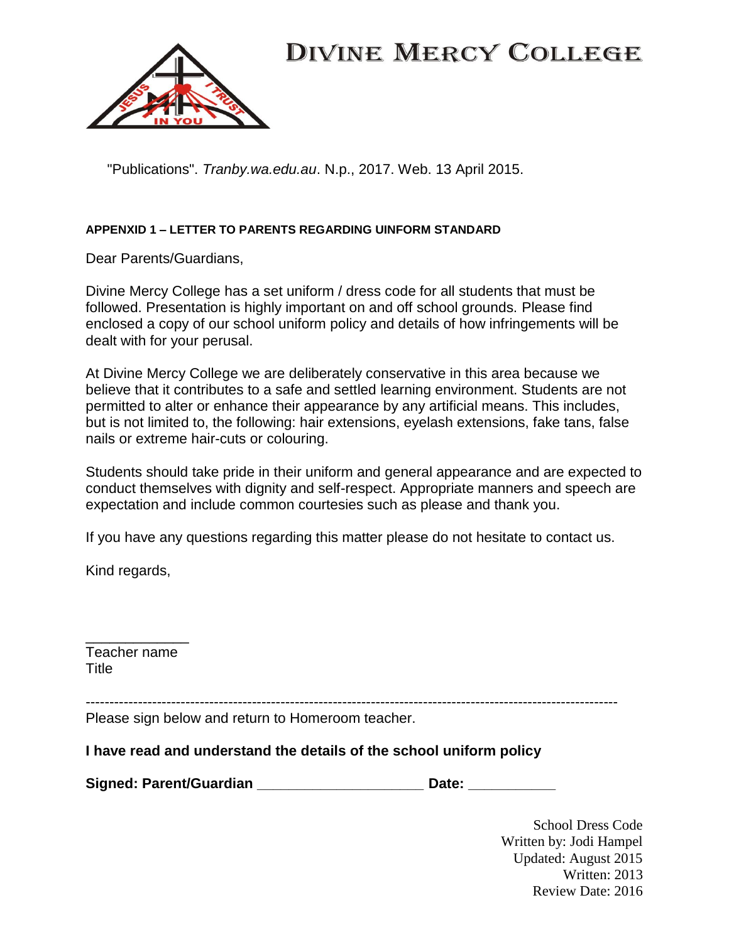

"Publications". *Tranby.wa.edu.au*. N.p., 2017. Web. 13 April 2015.

## **APPENXID 1 – LETTER TO PARENTS REGARDING UINFORM STANDARD**

Dear Parents/Guardians,

Divine Mercy College has a set uniform / dress code for all students that must be followed. Presentation is highly important on and off school grounds. Please find enclosed a copy of our school uniform policy and details of how infringements will be dealt with for your perusal.

At Divine Mercy College we are deliberately conservative in this area because we believe that it contributes to a safe and settled learning environment. Students are not permitted to alter or enhance their appearance by any artificial means. This includes, but is not limited to, the following: hair extensions, eyelash extensions, fake tans, false nails or extreme hair-cuts or colouring.

Students should take pride in their uniform and general appearance and are expected to conduct themselves with dignity and self-respect. Appropriate manners and speech are expectation and include common courtesies such as please and thank you.

If you have any questions regarding this matter please do not hesitate to contact us.

Kind regards,

\_\_\_\_\_\_\_\_\_\_\_\_\_ Teacher name **Title** 

----------------------------------------------------------------------------------------------------------------

Please sign below and return to Homeroom teacher.

## **I have read and understand the details of the school uniform policy**

**Signed: Parent/Guardian \_\_\_\_\_\_\_\_\_\_\_\_\_\_\_\_\_\_\_\_\_ Date: \_\_\_\_\_\_\_\_\_\_\_**